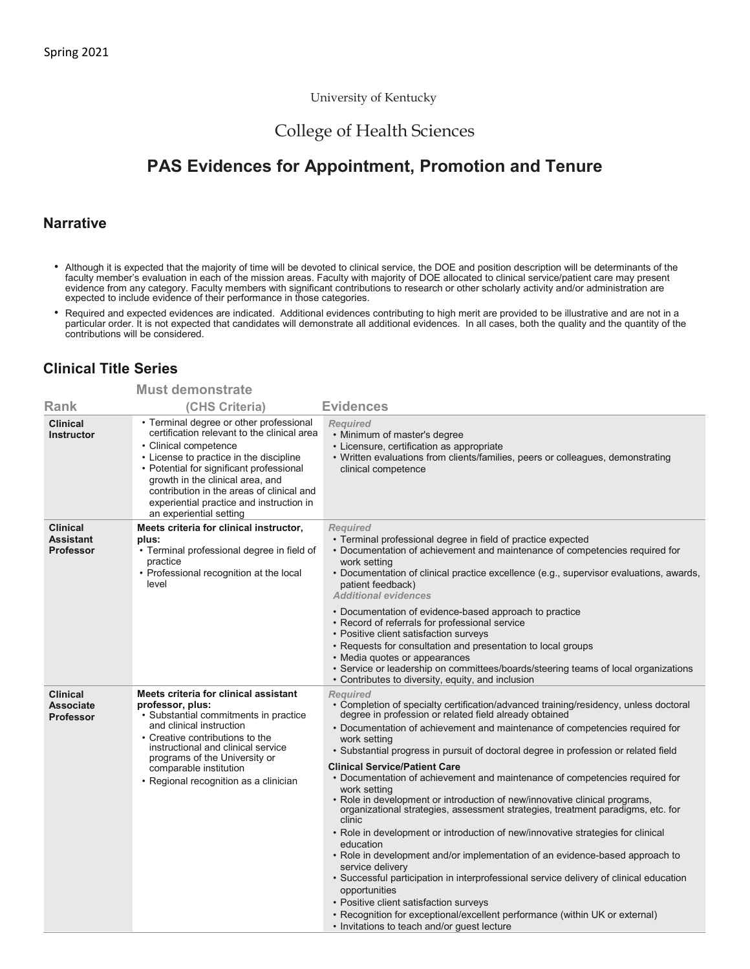#### University of Kentucky

## College of Health Sciences

# **PAS Evidences for Appointment, Promotion and Tenure**

### **Narrative**

- Although it is expected that the majority of time will be devoted to clinical service, the DOE and position description will be determinants of the faculty member's evaluation in each of the mission areas. Faculty with majority of DOE allocated to clinical service/patient care may present evidence from any category. Faculty members with significant contributions to research or other scholarly activity and/or administration are expected to include evidence of their performance in those categories.
- Required and expected evidences are indicated. Additional evidences contributing to high merit are provided to be illustrative and are not in a<br>particular order. It is not expected that candidates will demonstrate all ad contributions will be considered.

### **Clinical Title Series**

|                                                         | <b>Must demonstrate</b>                                                                                                                                                                                                                                                                                                                                        |                                                                                                                                                                                                                                                                                                                                                                                                                                                                                                                                                                                                                                                                                                                                                                                                                                                                                                                                                                                                                                                                                                                                                                  |
|---------------------------------------------------------|----------------------------------------------------------------------------------------------------------------------------------------------------------------------------------------------------------------------------------------------------------------------------------------------------------------------------------------------------------------|------------------------------------------------------------------------------------------------------------------------------------------------------------------------------------------------------------------------------------------------------------------------------------------------------------------------------------------------------------------------------------------------------------------------------------------------------------------------------------------------------------------------------------------------------------------------------------------------------------------------------------------------------------------------------------------------------------------------------------------------------------------------------------------------------------------------------------------------------------------------------------------------------------------------------------------------------------------------------------------------------------------------------------------------------------------------------------------------------------------------------------------------------------------|
| <b>Rank</b>                                             | (CHS Criteria)                                                                                                                                                                                                                                                                                                                                                 | <b>Evidences</b>                                                                                                                                                                                                                                                                                                                                                                                                                                                                                                                                                                                                                                                                                                                                                                                                                                                                                                                                                                                                                                                                                                                                                 |
| <b>Clinical</b><br><b>Instructor</b>                    | • Terminal degree or other professional<br>certification relevant to the clinical area<br>• Clinical competence<br>• License to practice in the discipline<br>• Potential for significant professional<br>growth in the clinical area, and<br>contribution in the areas of clinical and<br>experiential practice and instruction in<br>an experiential setting | <b>Required</b><br>• Minimum of master's degree<br>• Licensure, certification as appropriate<br>• Written evaluations from clients/families, peers or colleagues, demonstrating<br>clinical competence                                                                                                                                                                                                                                                                                                                                                                                                                                                                                                                                                                                                                                                                                                                                                                                                                                                                                                                                                           |
| <b>Clinical</b><br><b>Assistant</b><br><b>Professor</b> | Meets criteria for clinical instructor,<br>plus:<br>• Terminal professional degree in field of<br>practice<br>• Professional recognition at the local<br>level                                                                                                                                                                                                 | Required<br>• Terminal professional degree in field of practice expected<br>• Documentation of achievement and maintenance of competencies required for<br>work setting<br>• Documentation of clinical practice excellence (e.g., supervisor evaluations, awards,<br>patient feedback)<br><b>Additional evidences</b>                                                                                                                                                                                                                                                                                                                                                                                                                                                                                                                                                                                                                                                                                                                                                                                                                                            |
|                                                         |                                                                                                                                                                                                                                                                                                                                                                | • Documentation of evidence-based approach to practice<br>• Record of referrals for professional service<br>• Positive client satisfaction surveys<br>• Requests for consultation and presentation to local groups<br>• Media quotes or appearances<br>• Service or leadership on committees/boards/steering teams of local organizations<br>• Contributes to diversity, equity, and inclusion                                                                                                                                                                                                                                                                                                                                                                                                                                                                                                                                                                                                                                                                                                                                                                   |
| <b>Clinical</b><br><b>Associate</b><br><b>Professor</b> | Meets criteria for clinical assistant<br>professor, plus:<br>• Substantial commitments in practice<br>and clinical instruction<br>• Creative contributions to the<br>instructional and clinical service<br>programs of the University or<br>comparable institution<br>• Regional recognition as a clinician                                                    | <b>Reauired</b><br>• Completion of specialty certification/advanced training/residency, unless doctoral<br>degree in profession or related field already obtained<br>• Documentation of achievement and maintenance of competencies required for<br>work setting<br>· Substantial progress in pursuit of doctoral degree in profession or related field<br><b>Clinical Service/Patient Care</b><br>• Documentation of achievement and maintenance of competencies required for<br>work setting<br>• Role in development or introduction of new/innovative clinical programs,<br>organizational strategies, assessment strategies, treatment paradigms, etc. for<br>clinic<br>• Role in development or introduction of new/innovative strategies for clinical<br>education<br>• Role in development and/or implementation of an evidence-based approach to<br>service delivery<br>• Successful participation in interprofessional service delivery of clinical education<br>opportunities<br>• Positive client satisfaction surveys<br>• Recognition for exceptional/excellent performance (within UK or external)<br>• Invitations to teach and/or guest lecture |